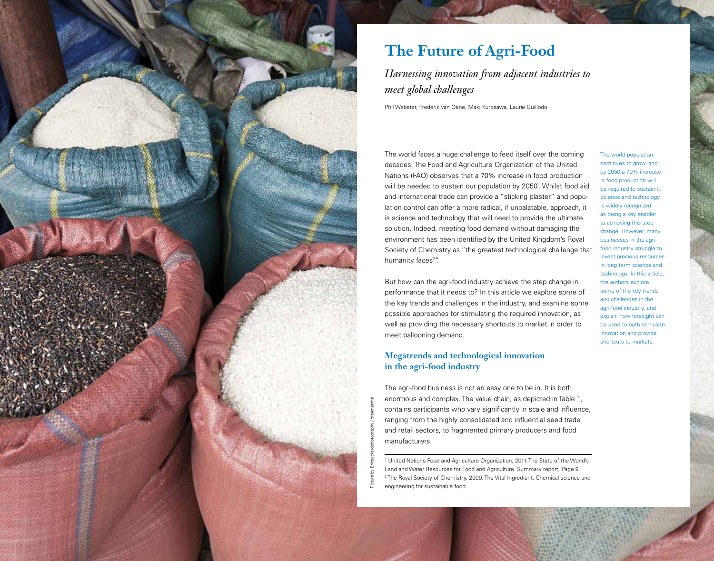

# **The Future of Agri-Food**

*Harnessing innovation from adjacent industries to meet global challenges*

Phil Webster, Frederik van Oene, Maki Kurosawa, Laurie Guillodo

The world faces a huge challenge to feed itself over the coming decades. The Food and Agriculture Organization of the United Nations (FAO) observes that a 70% increase in food production will be needed to sustain our population by 2050<sup>1</sup>. Whilst food aid and international trade can provide a "sticking plaster" and population control can offer a more radical, if unpalatable, approach, it is science and technology that will need to provide the ultimate solution. Indeed, meeting food demand without damaging the environment has been identified by the United Kingdom's Royal Society of Chemistry as "the greatest technological challenge that humanity faces<sup>2</sup>".

But how can the agri-food industry achieve the step change in performance that it needs to? In this article we explore some of the key trends and challenges in the industry, and examine some possible approaches for stimulating the required innovation, as well as providing the necessary shortcuts to market in order to meet ballooning demand.

## **Megatrends and technological innovation in the agri-food industry**

The agri-food business is not an easy one to be in. It is both enormous and complex. The value chain, as depicted in Table 1, contains participants who vary significantly in scale and influence, ranging from the highly consolidated and influential seed trade and retail sectors, to fragmented primary producers and food manufacturers.

<sup>1</sup> United Nations Food and Agriculture Organization, 2011. The State of the World's Land and Water Resources for Food and Agriculture. Summary report, Page 9 2 The Royal Society of Chemistry, 2009. The Vital Ingredient: Chemical science and engineering for sustainable food

The world population continues to grow, and by 2050 a 70% increase in food production will be required to sustain it. Science and technology is widely recognized as being a key enabler to achieving this step change. However, many businesses in the agrifood industry struggle to invest precious resources in long term science and technology. In this article, the authors explore some of the key trends and challenges in the agri-food industry, and explain how foresight can be used to both stimulate innovation and provide shortcuts to markets.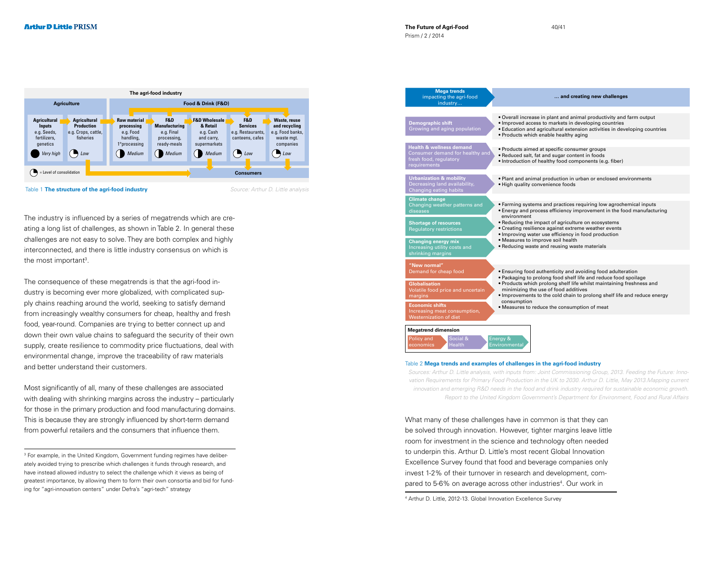

Table 1 **The structure of the agri-food industry** Source: Arthur D. Little analysis

The industry is influenced by a series of megatrends which are creating a long list of challenges, as shown in Table 2. In general these challenges are not easy to solve. They are both complex and highly interconnected, and there is little industry consensus on which is the most important<sup>3</sup>.

The consequence of these megatrends is that the agri-food industry is becoming ever more globalized, with complicated supply chains reaching around the world, seeking to satisfy demand from increasingly wealthy consumers for cheap, healthy and fresh food, year-round. Companies are trying to better connect up and down their own value chains to safeguard the security of their own supply, create resilience to commodity price fluctuations, deal with environmental change, improve the traceability of raw materials and better understand their customers.

Most significantly of all, many of these challenges are associated with dealing with shrinking margins across the industry – particularly for those in the primary production and food manufacturing domains. This is because they are strongly influenced by short-term demand from powerful retailers and the consumers that influence them.

<sup>3</sup> For example, in the United Kingdom, Government funding regimes have deliberately avoided trying to prescribe which challenges it funds through research, and have instead allowed industry to select the challenge which it views as being of greatest importance, by allowing them to form their own consortia and bid for funding for "agri-innovation centers" under Defra's "agri-tech" strategy

| <b>Mega trends</b><br>impacting the agri-food<br>industry                                                        | and creating new challenges                                                                                                                                                                                                                                                                                                                                                                                         |
|------------------------------------------------------------------------------------------------------------------|---------------------------------------------------------------------------------------------------------------------------------------------------------------------------------------------------------------------------------------------------------------------------------------------------------------------------------------------------------------------------------------------------------------------|
| <b>Demographic shift</b><br>Growing and aging population                                                         | . Overall increase in plant and animal productivity and farm output<br>• Improved access to markets in developing countries<br>• Education and agricultural extension activities in developing countries<br>• Products which enable healthy aging                                                                                                                                                                   |
| <b>Health &amp; wellness demand</b><br>Consumer demand for healthy and<br>fresh food, regulatory<br>requirements | • Products aimed at specific consumer groups<br>• Reduced salt, fat and sugar content in foods<br>• Introduction of healthy food components (e.g. fiber)                                                                                                                                                                                                                                                            |
| <b>Urbanization &amp; mobility</b><br>Decreasing land availability,<br>Changing eating habits                    | . Plant and animal production in urban or enclosed environments<br>. High quality convenience foods                                                                                                                                                                                                                                                                                                                 |
| <b>Climate change</b><br>Changing weather patterns and<br>diseases                                               | • Farming systems and practices requiring low agrochemical inputs<br>• Energy and process efficiency improvement in the food manufacturing<br>environment<br>• Reducing the impact of agriculture on ecosystems<br>• Creating resilience against extreme weather events<br>• Improving water use efficiency in food production<br>• Measures to improve soil health<br>• Reducing waste and reusing waste materials |
| <b>Shortage of resources</b><br><b>Regulatory restrictions</b>                                                   |                                                                                                                                                                                                                                                                                                                                                                                                                     |
| <b>Changing energy mix</b><br>Increasing utility costs and<br>shrinking margins                                  |                                                                                                                                                                                                                                                                                                                                                                                                                     |
| "New normal"<br>Demand for cheap food                                                                            | • Ensuring food authenticity and avoiding food adulteration<br>. Packaging to prolong food shelf life and reduce food spoilage<br>. Products which prolong shelf life whilst maintaining freshness and<br>minimizing the use of food additives<br>. Improvements to the cold chain to prolong shelf life and reduce energy<br>consumption<br>• Measures to reduce the consumption of meat                           |
| <b>Globalisation</b><br>Volatile food price and uncertain<br>margins                                             |                                                                                                                                                                                                                                                                                                                                                                                                                     |
| <b>Economic shifts</b><br>Increasing meat consumption,                                                           |                                                                                                                                                                                                                                                                                                                                                                                                                     |

#### Table 2 **Mega trends and examples of challenges in the agri-food industry**

Sources: Arthur D. Little analysis, with inputs from: Joint Commissioning Group, 2013. Feeding the Future: Innovation Requirements for Primary Food Production in the UK to 2030. Arthur D. Little, May 2013.Mapping current innovation and emerging R&D needs in the food and drink industry required for sustainable economic growth. Report to the United Kingdom Government's Department for Environment, Food and Rural Affairs

What many of these challenges have in common is that they can be solved through innovation. However, tighter margins leave little room for investment in the science and technology often needed to underpin this. Arthur D. Little's most recent Global Innovation Excellence Survey found that food and beverage companies only invest 1-2% of their turnover in research and development, compared to 5-6% on average across other industries<sup>4</sup>. Our work in

4 Arthur D. Little, 2012-13. Global Innovation Excellence Survey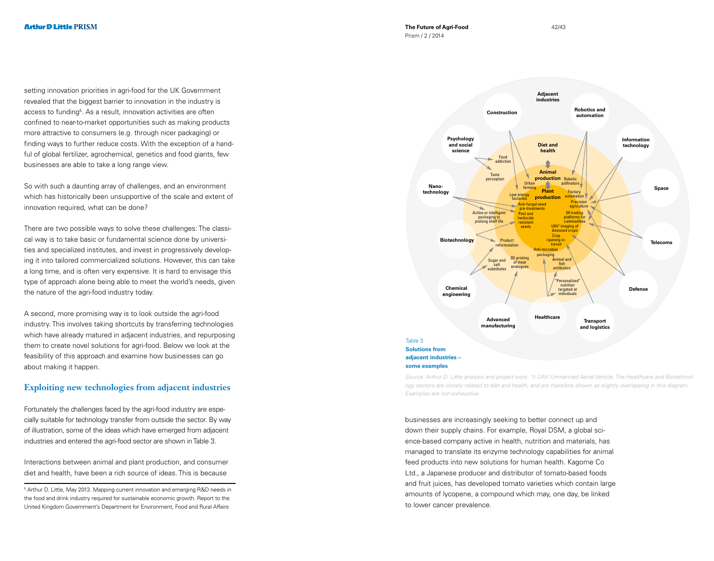setting innovation priorities in agri-food for the UK Government revealed that the biggest barrier to innovation in the industry is access to funding<sup>5</sup>. As a result, innovation activities are often confined to near-to-market opportunities such as making products more attractive to consumers (e.g. through nicer packaging) or finding ways to further reduce costs. With the exception of a handful of global fertilizer, agrochemical, genetics and food giants, few businesses are able to take a long range view.

So with such a daunting array of challenges, and an environment which has historically been unsupportive of the scale and extent of innovation required, what can be done?

There are two possible ways to solve these challenges: The classical way is to take basic or fundamental science done by universities and specialized institutes, and invest in progressively developing it into tailored commercialized solutions. However, this can take a long time, and is often very expensive. It is hard to envisage this type of approach alone being able to meet the world's needs, given the nature of the agri-food industry today.

A second, more promising way is to look outside the agri-food industry. This involves taking shortcuts by transferring technologies which have already matured in adjacent industries, and repurposing them to create novel solutions for agri-food. Below we look at the feasibility of this approach and examine how businesses can go about making it happen.

## **Exploiting new technologies from adjacent industries**

Fortunately the challenges faced by the agri-food industry are especially suitable for technology transfer from outside the sector. By way of illustration, some of the ideas which have emerged from adjacent industries and entered the agri-food sector are shown in Table 3.

Interactions between animal and plant production, and consumer diet and health, have been a rich source of ideas. This is because

5 Arthur D. Little, May 2013. Mapping current innovation and emerging R&D needs in the food and drink industry required for sustainable economic growth. Report to the United Kingdom Government's Department for Environment, Food and Rural Affairs



Source: Arthur D. Little analysis and project work. 1) UAV: Unmanned Aerial Vehicle. The Healthcare and Biotechnology sectors are closely related to diet and health, and are therefore shown as slightly overlapping in this diagram. Examples are non-exhaustive

businesses are increasingly seeking to better connect up and down their supply chains. For example, Royal DSM, a global science-based company active in health, nutrition and materials, has managed to translate its enzyme technology capabilities for animal feed products into new solutions for human health. Kagome Co Ltd., a Japanese producer and distributor of tomato-based foods and fruit juices, has developed tomato varieties which contain large amounts of lycopene, a compound which may, one day, be linked to lower cancer prevalence.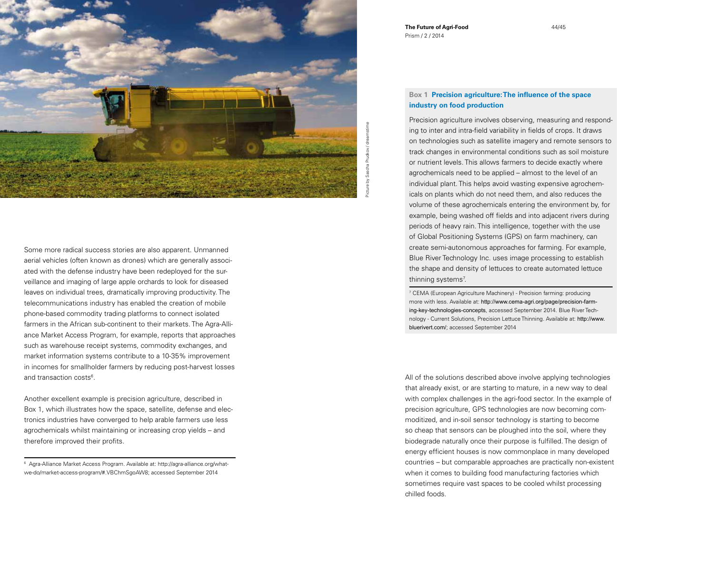

Some more radical success stories are also apparent. Unmanned aerial vehicles (often known as drones) which are generally associated with the defense industry have been redeployed for the surveillance and imaging of large apple orchards to look for diseased leaves on individual trees, dramatically improving productivity. The telecommunications industry has enabled the creation of mobile phone-based commodity trading platforms to connect isolated farmers in the African sub-continent to their markets. The Agra-Alliance Market Access Program, for example, reports that approaches such as warehouse receipt systems, commodity exchanges, and market information systems contribute to a 10-35% improvement in incomes for smallholder farmers by reducing post-harvest losses and transaction costs<sup>6</sup>.

Another excellent example is precision agriculture, described in Box 1, which illustrates how the space, satellite, defense and electronics industries have converged to help arable farmers use less agrochemicals whilst maintaining or increasing crop yields – and therefore improved their profits.

6 Agra-Alliance Market Access Program. Available at: http://agra-alliance.org/whatwe-do/market-access-program/#.VBChmSgoAW8; accessed September 2014

**The Future of Agri-Food** Prism / 2 / 2014

## **Box 1 Precision agriculture: The influence of the space industry on food production**

Precision agriculture involves observing, measuring and responding to inter and intra-field variability in fields of crops. It draws on technologies such as satellite imagery and remote sensors to track changes in environmental conditions such as soil moisture or nutrient levels. This allows farmers to decide exactly where agrochemicals need to be applied – almost to the level of an individual plant. This helps avoid wasting expensive agrochemicals on plants which do not need them, and also reduces the volume of these agrochemicals entering the environment by, for example, being washed off fields and into adjacent rivers during periods of heavy rain. This intelligence, together with the use of Global Positioning Systems (GPS) on farm machinery, can create semi-autonomous approaches for farming. For example, Blue River Technology Inc. uses image processing to establish the shape and density of lettuces to create automated lettuce thinning systems<sup>7</sup>.

7 CEMA (European Agriculture Machinery) - Precision farming: producing more with less. Available at: http://www.cema-agri.org/page/precision-farming-key-technologies-concepts, accessed September 2014. Blue River Technology - Current Solutions, Precision Lettuce Thinning. Available at: http://www. bluerivert.com/; accessed September 2014

All of the solutions described above involve applying technologies that already exist, or are starting to mature, in a new way to deal with complex challenges in the agri-food sector. In the example of precision agriculture, GPS technologies are now becoming commoditized, and in-soil sensor technology is starting to become so cheap that sensors can be ploughed into the soil, where they biodegrade naturally once their purpose is fulfilled. The design of energy efficient houses is now commonplace in many developed countries – but comparable approaches are practically non-existent when it comes to building food manufacturing factories which sometimes require vast spaces to be cooled whilst processing chilled foods.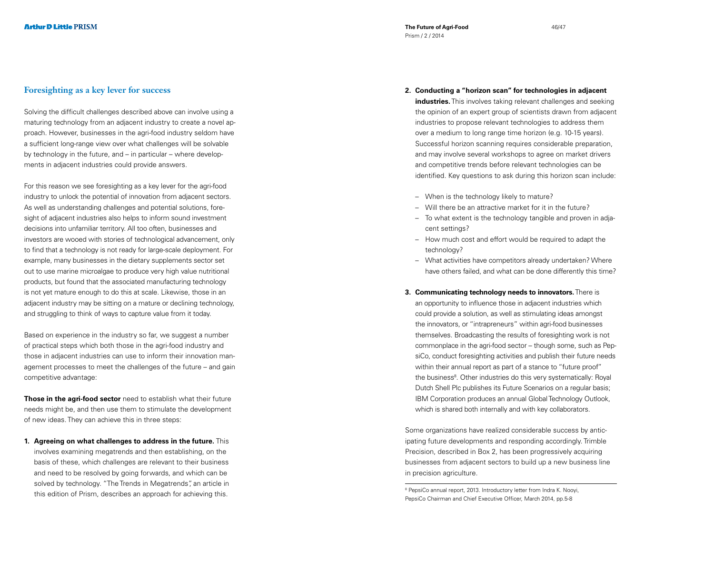Solving the difficult challenges described above can involve using a maturing technology from an adjacent industry to create a novel approach. However, businesses in the agri-food industry seldom have a sufficient long-range view over what challenges will be solvable by technology in the future, and – in particular – where developments in adjacent industries could provide answers.

For this reason we see foresighting as a key lever for the agri-food industry to unlock the potential of innovation from adjacent sectors. As well as understanding challenges and potential solutions, foresight of adjacent industries also helps to inform sound investment decisions into unfamiliar territory. All too often, businesses and investors are wooed with stories of technological advancement, only to find that a technology is not ready for large-scale deployment. For example, many businesses in the dietary supplements sector set out to use marine microalgae to produce very high value nutritional products, but found that the associated manufacturing technology is not yet mature enough to do this at scale. Likewise, those in an adjacent industry may be sitting on a mature or declining technology, and struggling to think of ways to capture value from it today.

Based on experience in the industry so far, we suggest a number of practical steps which both those in the agri-food industry and those in adjacent industries can use to inform their innovation management processes to meet the challenges of the future – and gain competitive advantage:

**Those in the agri-food sector** need to establish what their future needs might be, and then use them to stimulate the development of new ideas. They can achieve this in three steps:

**1. Agreeing on what challenges to address in the future.** This involves examining megatrends and then establishing, on the basis of these, which challenges are relevant to their business and need to be resolved by going forwards, and which can be solved by technology. "The Trends in Megatrends", an article in this edition of Prism, describes an approach for achieving this.

- **2. Conducting a "horizon scan" for technologies in adjacent industries.** This involves taking relevant challenges and seeking the opinion of an expert group of scientists drawn from adjacent industries to propose relevant technologies to address them over a medium to long range time horizon (e.g. 10-15 years). Successful horizon scanning requires considerable preparation, and may involve several workshops to agree on market drivers and competitive trends before relevant technologies can be identified. Key questions to ask during this horizon scan include:
	- When is the technology likely to mature?
	- Will there be an attractive market for it in the future?
	- To what extent is the technology tangible and proven in adjacent settings?
	- How much cost and effort would be required to adapt the technology?
	- What activities have competitors already undertaken? Where have others failed, and what can be done differently this time?
- **3. Communicating technology needs to innovators.** There is an opportunity to influence those in adjacent industries which could provide a solution, as well as stimulating ideas amongst the innovators, or "intrapreneurs" within agri-food businesses themselves. Broadcasting the results of foresighting work is not commonplace in the agri-food sector – though some, such as PepsiCo, conduct foresighting activities and publish their future needs within their annual report as part of a stance to "future proof" the business<sup>8</sup>. Other industries do this very systematically: Royal Dutch Shell Plc publishes its Future Scenarios on a regular basis; IBM Corporation produces an annual Global Technology Outlook, which is shared both internally and with key collaborators.

Some organizations have realized considerable success by anticipating future developments and responding accordingly. Trimble Precision, described in Box 2, has been progressively acquiring businesses from adjacent sectors to build up a new business line in precision agriculture.

<sup>8</sup> PepsiCo annual report, 2013. Introductory letter from Indra K. Nooyi, PepsiCo Chairman and Chief Executive Officer, March 2014, pp.5-8